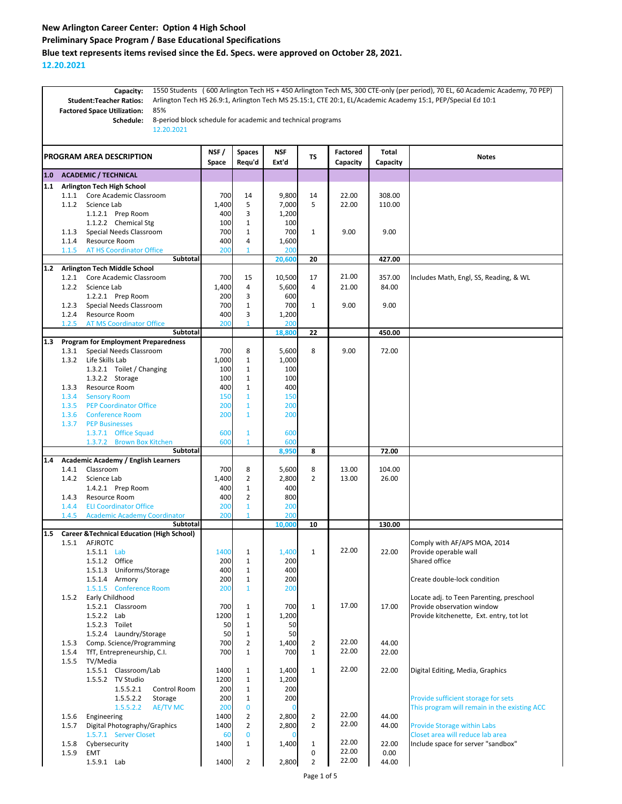## **New Arlington Career Center: Option 4 High School Preliminary Space Program / Base Educational Specifications Blue text represents items revised since the Ed. Specs. were approved on October 28, 2021.**

**12.20.2021**

1550 Students ( 600 Arlington Tech HS + 450 Arlington Tech MS, 300 CTE-only (per period), 70 EL, 60 Academic Academy, 70 PEP) Arlington Tech HS 26.9:1, Arlington Tech MS 25.15:1, CTE 20:1, EL/Academic Academy 15:1, PEP/Special Ed 10:1 85% 8-period block schedule for academic and technical programs 12.20.2021 **NSF / Space Spaces Requ'd NSF Ext'd TS Factored Capacity Total Capacity Notes 1.0 ACADEMIC / TECHNICAL 1.1 Arlington Tech High School** 1.1.1 Core Academic Classroom | 700 14 9,800 14 22.00 308.00 1.1.2 Science Lab 1,400 5 7,000 5 22.00 110.00 1.1.2.1 Prep Room 400 3 1,200<br>1.1.2.2 Chemical Stg 100 1 100 1.1.2.2 Chemical Stg 100 1 1.1.3 Special Needs Classroom <br>1.1.4 Resource Room 1.00  $\begin{array}{|c|c|c|c|c|c|c|c|} \hline \text{1}} & \text{700} & \text{1} & \text{700} & \text{1} & \text{9.00} & \text{9.00} \\ \hline \end{array}$ 1.1.4 Resource Room 1.1.4 400 4 AT HS Coordinator Office 200 1 200 1 200 **20,600 20 427.00 1.2 Arlington Tech Middle School** 1.2.1 Core Academic Classroom 700 15 10,500 17 21.00 357.00 Includes Math, Engl, SS, Reading, & WL 1.2.2 Science Lab 1,400 4 5,600 4 21.00 84.00 1.2.2.1 Prep Room 200 3 600 1.2.3 Special Needs Classroom 1 700 1 700 1 9.00 9.00 1.2.4 Resource Room 1.2.00 3 1.200 1.2.5 AT MS Coordinator Office 200 1 200 **18,800 22 450.00 1.3 Program for Employment Preparedness**  1.3.1 Special Needs Classroom 700 8 5,600 8 9.00 72.00<br>1.3.2 Life Skills Lab 1.000 1 1.000 1 1.000 1.3.2 Life Skills Lab 1.000 1 1.3.2.1 Toilet / Changing 100 1 1 100<br>1.3.2.2 Storage 100 1 100 1 100 1.3.2.2 Storage 1.3.3 Resource Room 1 400 1 400 1.3.4 Sensory Room 150 150 1 150 150 1.3.5 PEP Coordinator Office 200 1 200 1.3.6 Conference Room 200 1 200 1.3.7 PEP Businesses 1.3.7.1 Office Squad 600 1 600<br>1.3.7.2 Brown Box Kitchen 600 1 600 1.3.7.2 Brown Box Kitchen 60 **8,950 8 72.00 1.4 Academic Academy / English Learners** 1.4.1 Classroom **1.4.1 Classroom** 1.4.1 **Classroom** 1.4.1 **Classroom** 1.5,600 8 1.5,600 8 1.5,600 1.104.00 1.4.2 Science Lab 1,400 2 2,800 2 13.00 26.00 1.4.2.1 Prep Room 1 400 1 400 1.4.3 Resource Room 400 2 800 1.4.4 ELI Coordinator Office 200 1 20 1.4.5 Academic Academy Coordinator | 20 **10,000 10 130.00 1.5 Career &Technical Education (High School)** 1.5.1 AFJROTC<br>1.5.1.1 Lab 1.400 1 1.400 1 22.00 22.00 Provide operable wall  $\begin{array}{|c|c|c|c|}\n\hline\n & 1 & 22.00 & 22.00 & \text{Provide operate wall} \\
\hline\n200 & & 1 & 22.00 & \text{Shared office} \\
\hline\n\end{array}$ 1.5.1.2 Office 200 1 1.5.1.3 Uniforms/Storage  $\begin{array}{|c|c|c|c|}\n\hline\n1.5.1.4 & \text{Armory} & 200 & 1 & 200 \\
\hline\n\end{array}$ Create double-lock condition 1.5.1.5 Conference Room 200 1 200<br>1.5.2 Early Childhood 17.00 **Early Childhood Locate adj. to Teen Parenting, preschool** 17.00 **Provide observation window** 1.5.2.1 Classroom 700 1 700 1 17.00 17.00 Provide observation window 1.5.2.2 Lab 1200 1 1,200 1 1,200 Provide kitchenette, Ext. entry, tot lot 1.5.2.3 Toilet 50 1 50 50 1.5.2.4 Laundry/Storage 50 1 50<br>
Comp. Science/Programming 700 2 1,400 1.5.3 Comp. Science/Programming 700 2 1,400 2 22.00 44.00<br>1.5.4 TfT Entrepreneurship CL 700 1 700 1 22.00 22.00 1.5.4 TfT, Entrepreneurship, C.I. | 700 1 700 1 1.5.5 TV/Media 1400 1 | 1,400 1 22.00 22.00 Digital Editing, Media, Graphics 1.5.5.2 TV Studio 1 1200 1 1,200 1.5.5.2.1 Control Room 200 1 200 1.5.5.2.2 Storage 200 1 200 200 Provide sufficient storage for sets 1.5.5.2.2 AE/TV MC 200 0 0 This program will remain in the existing ACC 1.5.6 Engineering 1100 | 1400 | 2 | 2,800 | 2 | 22.00 | 44.00 1.5.7 Digital Photography/Graphics 1400 2 2,800 2 22.00 44.00 Provide Storage within Labs 1.5.7.1 Server Closet 60 0 0 Closet area will reduce lab area 1.5.8 Cybersecurity 1400 1 1,400 1 22.00 22.00 Include space for server "sandbox"<br>1.5.9 EMT 1.5.9 EMT 0 22.00 0.00 1.5.9.1 Lab 1400 2 2,800 2 22.00 44.00 **PROGRAM AREA DESCRIPTION Student:Teacher Ratios: Factored Space Utilization: Capacity: Schedule: Subtotal Subtotal Subtotal Subtotal**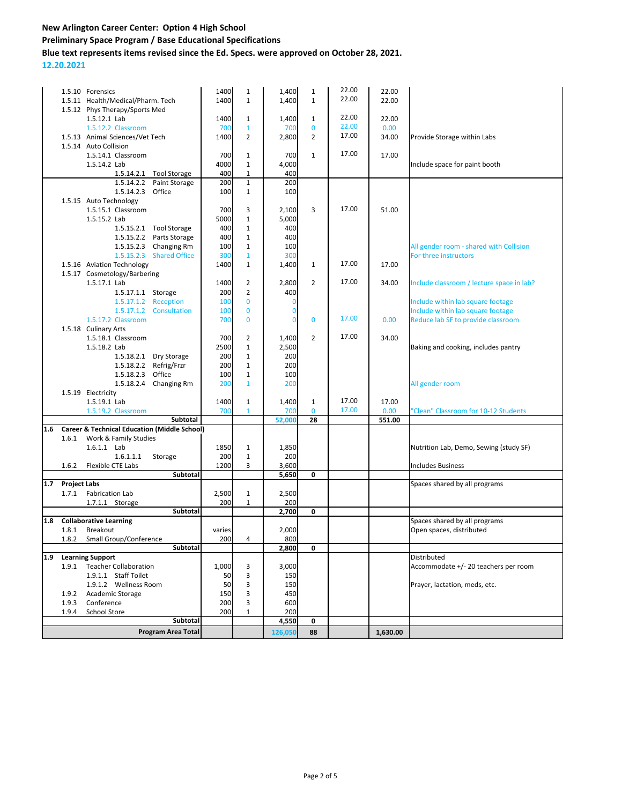**Preliminary Space Program / Base Educational Specifications**

**Blue text represents items revised since the Ed. Specs. were approved on October 28, 2021.**

**12.20.2021**

|     |                     | 1.5.10 Forensics                                        |                           | 1400   | $\mathbf{1}$   | 1,400          | $\mathbf{1}$   | 22.00 | 22.00    |                                           |
|-----|---------------------|---------------------------------------------------------|---------------------------|--------|----------------|----------------|----------------|-------|----------|-------------------------------------------|
|     |                     | 1.5.11 Health/Medical/Pharm. Tech                       |                           | 1400   | $\mathbf{1}$   | 1,400          | $\mathbf{1}$   | 22.00 | 22.00    |                                           |
|     |                     | 1.5.12 Phys Therapy/Sports Med                          |                           |        |                |                |                |       |          |                                           |
|     |                     | 1.5.12.1 Lab                                            |                           | 1400   | $\mathbf{1}$   | 1,400          | $\mathbf{1}$   | 22.00 | 22.00    |                                           |
|     |                     | 1.5.12.2 Classroom                                      |                           | 700    | $\mathbf{1}$   | 700            | $\mathbf{0}$   | 22.00 | 0.00     |                                           |
|     |                     | 1.5.13 Animal Sciences/Vet Tech                         |                           | 1400   | 2              | 2,800          | $\overline{2}$ | 17.00 | 34.00    | Provide Storage within Labs               |
|     |                     | 1.5.14 Auto Collision                                   |                           |        |                |                |                |       |          |                                           |
|     |                     | 1.5.14.1 Classroom                                      |                           | 700    | $\mathbf{1}$   | 700            | $\mathbf{1}$   | 17.00 | 17.00    |                                           |
|     |                     | 1.5.14.2 Lab                                            |                           | 4000   | $\mathbf{1}$   | 4,000          |                |       |          | Include space for paint booth             |
|     |                     |                                                         | 1.5.14.2.1 Tool Storage   | 400    | $\mathbf{1}$   | 400            |                |       |          |                                           |
|     |                     | 1.5.14.2.2                                              | Paint Storage             | 200    | $\mathbf{1}$   | 200            |                |       |          |                                           |
|     |                     | 1.5.14.2.3 Office                                       |                           | 100    | $\mathbf{1}$   | 100            |                |       |          |                                           |
|     |                     | 1.5.15 Auto Technology                                  |                           |        |                |                |                |       |          |                                           |
|     |                     | 1.5.15.1 Classroom                                      |                           | 700    | 3              | 2,100          | 3              | 17.00 | 51.00    |                                           |
|     |                     | 1.5.15.2 Lab                                            |                           | 5000   | $\mathbf{1}$   | 5,000          |                |       |          |                                           |
|     |                     |                                                         | 1.5.15.2.1 Tool Storage   | 400    | $\mathbf{1}$   | 400            |                |       |          |                                           |
|     |                     |                                                         | 1.5.15.2.2 Parts Storage  | 400    | $\mathbf{1}$   | 400            |                |       |          |                                           |
|     |                     |                                                         | 1.5.15.2.3 Changing Rm    | 100    | $\mathbf{1}$   | 100            |                |       |          | All gender room - shared with Collision   |
|     |                     | 1.5.15.2.3                                              | <b>Shared Office</b>      | 300    | $\mathbf{1}$   | 300            |                |       |          | For three instructors                     |
|     |                     | 1.5.16 Aviation Technology                              |                           | 1400   | $\mathbf{1}$   | 1,400          | $\mathbf{1}$   | 17.00 | 17.00    |                                           |
|     |                     | 1.5.17 Cosmetology/Barbering                            |                           |        |                |                |                |       |          |                                           |
|     |                     | 1.5.17.1 Lab                                            |                           | 1400   | $\overline{2}$ | 2,800          | $\overline{2}$ | 17.00 | 34.00    | Include classroom / lecture space in lab? |
|     |                     | 1.5.17.1.1 Storage                                      |                           | 200    | $\overline{2}$ | 400            |                |       |          |                                           |
|     |                     | 1.5.17.1.2                                              | Reception                 | 100    | $\mathbf{0}$   | $\bf{0}$       |                |       |          | Include within lab square footage         |
|     |                     | 1.5.17.1.2                                              | Consultation              | 100    | $\mathbf{0}$   | $\bf{0}$       |                |       |          | Include within lab square footage         |
|     |                     | 1.5.17.2 Classroom                                      |                           | 700    | $\Omega$       | $\overline{0}$ | $\mathbf{0}$   | 17.00 | 0.00     | Reduce lab SF to provide classroom        |
|     |                     | 1.5.18 Culinary Arts                                    |                           |        |                |                |                |       |          |                                           |
|     |                     | 1.5.18.1 Classroom                                      |                           | 700    | $\overline{2}$ | 1,400          | $\overline{2}$ | 17.00 | 34.00    |                                           |
|     |                     | 1.5.18.2 Lab                                            |                           | 2500   | $\mathbf{1}$   | 2,500          |                |       |          | Baking and cooking, includes pantry       |
|     |                     |                                                         | 1.5.18.2.1 Dry Storage    | 200    | $\mathbf{1}$   | 200            |                |       |          |                                           |
|     |                     |                                                         | 1.5.18.2.2 Refrig/Frzr    | 200    | $\mathbf{1}$   | 200            |                |       |          |                                           |
|     |                     | 1.5.18.2.3                                              | Office                    | 100    | $\mathbf{1}$   | 100            |                |       |          |                                           |
|     |                     |                                                         | 1.5.18.2.4 Changing Rm    | 200    | $\mathbf{1}$   | 200            |                |       |          | All gender room                           |
|     |                     | 1.5.19 Electricity                                      |                           |        |                |                |                |       |          |                                           |
|     |                     | 1.5.19.1 Lab                                            |                           | 1400   | $\mathbf{1}$   | 1,400          | $\mathbf{1}$   | 17.00 | 17.00    |                                           |
|     |                     | 1.5.19.2 Classroom                                      |                           | 700    | $\mathbf{1}$   | 700            | $\mathbf{0}$   | 17.00 | 0.00     | 'Clean" Classroom for 10-12 Students      |
|     |                     |                                                         | Subtotal                  |        |                | 52,000         | 28             |       | 551.00   |                                           |
| 1.6 |                     | <b>Career &amp; Technical Education (Middle School)</b> |                           |        |                |                |                |       |          |                                           |
|     | 1.6.1               | Work & Family Studies                                   |                           |        |                |                |                |       |          |                                           |
|     |                     | 1.6.1.1 Lab                                             |                           | 1850   | $\mathbf 1$    | 1,850          |                |       |          | Nutrition Lab, Demo, Sewing (study SF)    |
|     |                     | 1.6.1.1.1                                               | Storage                   | 200    | $\mathbf{1}$   | 200            |                |       |          |                                           |
|     | 1.6.2               | Flexible CTE Labs                                       |                           | 1200   | 3              | 3,600          |                |       |          | <b>Includes Business</b>                  |
|     |                     |                                                         | Subtotal                  |        |                | 5,650          | 0              |       |          |                                           |
| 1.7 | <b>Project Labs</b> |                                                         |                           |        |                |                |                |       |          | Spaces shared by all programs             |
|     | 1.7.1               | <b>Fabrication Lab</b>                                  |                           | 2,500  | $\mathbf{1}$   | 2,500          |                |       |          |                                           |
|     |                     | 1.7.1.1 Storage                                         |                           | 200    | $\mathbf{1}$   | 200            |                |       |          |                                           |
|     |                     |                                                         | Subtotal                  |        |                | 2,700          | 0              |       |          |                                           |
| 1.8 |                     | <b>Collaborative Learning</b>                           |                           |        |                |                |                |       |          | Spaces shared by all programs             |
|     | 1.8.1               | Breakout                                                |                           | varies |                | 2,000          |                |       |          | Open spaces, distributed                  |
|     | 1.8.2               | Small Group/Conference                                  |                           | 200    | 4              | 800            |                |       |          |                                           |
|     |                     |                                                         | Subtotal                  |        |                | 2,800          | 0              |       |          |                                           |
| 1.9 |                     | <b>Learning Support</b>                                 |                           |        |                |                |                |       |          | Distributed                               |
|     |                     | 1.9.1 Teacher Collaboration                             |                           | 1,000  | 3              | 3,000          |                |       |          | Accommodate +/- 20 teachers per room      |
|     |                     | 1.9.1.1 Staff Toilet                                    |                           | 50     | 3              | 150            |                |       |          |                                           |
|     |                     | 1.9.1.2 Wellness Room                                   |                           | 50     | 3              | 150            |                |       |          | Prayer, lactation, meds, etc.             |
|     | 1.9.2               | Academic Storage                                        |                           | 150    | 3              | 450            |                |       |          |                                           |
|     | 1.9.3               | Conference                                              |                           | 200    | 3              | 600            |                |       |          |                                           |
|     | 1.9.4               | School Store                                            |                           | 200    | 1              | 200            |                |       |          |                                           |
|     |                     |                                                         | Subtotal                  |        |                | 4,550          | 0              |       |          |                                           |
|     |                     |                                                         | <b>Program Area Total</b> |        |                | 126,050        | 88             |       | 1,630.00 |                                           |
|     |                     |                                                         |                           |        |                |                |                |       |          |                                           |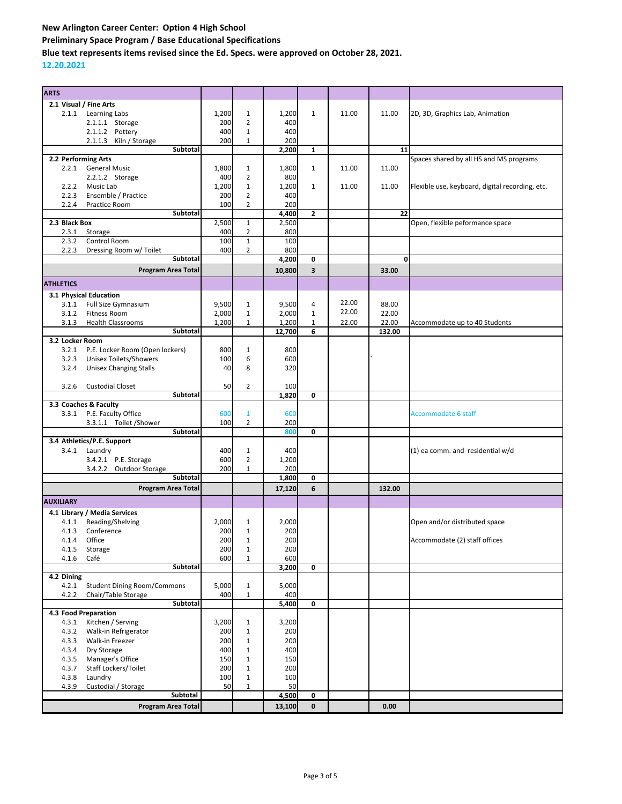**Preliminary Space Program / Base Educational Specifications**

**Blue text represents items revised since the Ed. Specs. were approved on October 28, 2021.**

**12.20.2021**

| <b>ARTS</b>      |                                    |       |                |        |                         |       |        |                                                 |
|------------------|------------------------------------|-------|----------------|--------|-------------------------|-------|--------|-------------------------------------------------|
|                  | 2.1 Visual / Fine Arts             |       |                |        |                         |       |        |                                                 |
|                  | 2.1.1 Learning Labs                | 1,200 | $\mathbf{1}$   | 1,200  | $\mathbf{1}$            | 11.00 | 11.00  | 2D, 3D, Graphics Lab, Animation                 |
|                  |                                    | 200   | $\overline{2}$ | 400    |                         |       |        |                                                 |
|                  | 2.1.1.1 Storage                    |       |                |        |                         |       |        |                                                 |
|                  | 2.1.1.2 Pottery                    | 400   | $\mathbf{1}$   | 400    |                         |       |        |                                                 |
|                  | 2.1.1.3 Kiln / Storage             | 200   | $\mathbf{1}$   | 200    |                         |       |        |                                                 |
|                  | Subtotal                           |       |                | 2,200  | $\mathbf{1}$            |       | 11     |                                                 |
|                  | 2.2 Performing Arts                |       |                |        |                         |       |        | Spaces shared by all HS and MS programs         |
| 2.2.1            | <b>General Music</b>               | 1,800 | $\mathbf{1}$   | 1,800  | $\mathbf{1}$            | 11.00 | 11.00  |                                                 |
|                  | 2.2.1.2 Storage                    | 400   | $\overline{2}$ | 800    |                         |       |        |                                                 |
| 2.2.2            | Music Lab                          | 1,200 | $\mathbf 1$    | 1,200  | $\mathbf{1}$            | 11.00 | 11.00  | Flexible use, keyboard, digital recording, etc. |
| 2.2.3            | Ensemble / Practice                | 200   | $\overline{2}$ | 400    |                         |       |        |                                                 |
| 2.2.4            | Practice Room                      | 100   | $\overline{2}$ | 200    |                         |       |        |                                                 |
|                  | Subtotal                           |       |                | 4,400  | $\mathbf{z}$            |       | 22     |                                                 |
|                  |                                    |       |                |        |                         |       |        |                                                 |
| 2.3 Black Box    |                                    | 2,500 | $\mathbf{1}$   | 2,500  |                         |       |        | Open, flexible peformance space                 |
| 2.3.1            | Storage                            | 400   | $\overline{2}$ | 800    |                         |       |        |                                                 |
| 2.3.2            | Control Room                       | 100   | $\mathbf{1}$   | 100    |                         |       |        |                                                 |
| 2.2.3            | Dressing Room w/ Toilet            | 400   | $\overline{2}$ | 800    |                         |       |        |                                                 |
|                  | Subtotal                           |       |                | 4,200  | 0                       |       | 0      |                                                 |
|                  | <b>Program Area Total</b>          |       |                | 10,800 | $\overline{\mathbf{3}}$ |       | 33.00  |                                                 |
|                  |                                    |       |                |        |                         |       |        |                                                 |
| <b>ATHLETICS</b> |                                    |       |                |        |                         |       |        |                                                 |
|                  | 3.1 Physical Education             |       |                |        |                         |       |        |                                                 |
| 3.1.1            | Full Size Gymnasium                | 9,500 | $\mathbf{1}$   | 9,500  | 4                       | 22.00 | 88.00  |                                                 |
|                  | <b>Fitness Room</b>                |       |                |        | $\mathbf{1}$            | 22.00 | 22.00  |                                                 |
| 3.1.2            |                                    | 2,000 | $\mathbf{1}$   | 2,000  |                         |       |        |                                                 |
| 3.1.3            | <b>Health Classrooms</b>           | 1,200 | $\mathbf{1}$   | 1,200  | $\mathbf{1}$            | 22.00 | 22.00  | Accommodate up to 40 Students                   |
|                  | <b>Subtotal</b>                    |       |                | 12,700 | 6                       |       | 132.00 |                                                 |
| 3.2 Locker Room  |                                    |       |                |        |                         |       |        |                                                 |
| 3.2.1            | P.E. Locker Room (Open lockers)    | 800   | 1              | 800    |                         |       |        |                                                 |
| 3.2.3            | Unisex Toilets/Showers             | 100   | 6              | 600    |                         |       |        |                                                 |
| 3.2.4            | <b>Unisex Changing Stalls</b>      | 40    | 8              | 320    |                         |       |        |                                                 |
|                  |                                    |       |                |        |                         |       |        |                                                 |
| 3.2.6            | <b>Custodial Closet</b>            | 50    | $\overline{2}$ | 100    |                         |       |        |                                                 |
|                  | <b>Subtotal</b>                    |       |                | 1,820  | 0                       |       |        |                                                 |
|                  | 3.3 Coaches & Faculty              |       |                |        |                         |       |        |                                                 |
|                  |                                    |       |                |        |                         |       |        |                                                 |
|                  | 3.3.1 P.E. Faculty Office          | 600   | $\mathbf{1}$   | 600    |                         |       |        | <b>Accommodate 6 staff</b>                      |
|                  | 3.3.1.1 Toilet / Shower            | 100   | 2              | 200    |                         |       |        |                                                 |
|                  | Subtotal                           |       |                | 800    | 0                       |       |        |                                                 |
|                  | 3.4 Athletics/P.E. Support         |       |                |        |                         |       |        |                                                 |
|                  | 3.4.1 Laundry                      | 400   | $\mathbf{1}$   | 400    |                         |       |        | (1) ea comm. and residential w/d                |
|                  | 3.4.2.1 P.E. Storage               | 600   | $\overline{2}$ | 1,200  |                         |       |        |                                                 |
|                  | 3.4.2.2 Outdoor Storage            | 200   | 1              | 200    |                         |       |        |                                                 |
|                  | <b>Subtotal</b>                    |       |                | 1,800  | 0                       |       |        |                                                 |
|                  |                                    |       |                |        |                         |       |        |                                                 |
|                  | <b>Program Area Total</b>          |       |                | 17,120 | 6                       |       | 132.00 |                                                 |
| <b>AUXILIARY</b> |                                    |       |                |        |                         |       |        |                                                 |
|                  | 4.1 Library / Media Services       |       |                |        |                         |       |        |                                                 |
|                  |                                    |       |                |        |                         |       |        |                                                 |
| 4.1.1            | Reading/Shelving                   | 2,000 | 1              | 2,000  |                         |       |        | Open and/or distributed space                   |
| 4.1.3            | Conference                         | 200   | $\mathbf{1}$   | 200    |                         |       |        |                                                 |
| 4.1.4            | Office                             | 200   | 1              | 200    |                         |       |        | Accommodate (2) staff offices                   |
| 4.1.5            | Storage                            | 200   | $1\,$          | 200    |                         |       |        |                                                 |
| 4.1.6            | Café                               | 600   | 1              | 600    |                         |       |        |                                                 |
|                  | Subtotal                           |       |                | 3,200  | 0                       |       |        |                                                 |
| 4.2 Dining       |                                    |       |                |        |                         |       |        |                                                 |
| 4.2.1            | <b>Student Dining Room/Commons</b> | 5,000 | $\mathbf{1}$   | 5,000  |                         |       |        |                                                 |
| 4.2.2            | Chair/Table Storage                | 400   | $\mathbf{1}$   | 400    |                         |       |        |                                                 |
|                  | Subtotal                           |       |                | 5,400  | 0                       |       |        |                                                 |
|                  | 4.3 Food Preparation               |       |                |        |                         |       |        |                                                 |
| 4.3.1            | Kitchen / Serving                  | 3,200 |                | 3,200  |                         |       |        |                                                 |
|                  |                                    |       | $\mathbf{1}$   |        |                         |       |        |                                                 |
| 4.3.2            | Walk-in Refrigerator               | 200   | $\mathbf{1}$   | 200    |                         |       |        |                                                 |
| 4.3.3            | Walk-in Freezer                    | 200   | $\mathbf{1}$   | 200    |                         |       |        |                                                 |
| 4.3.4            | Dry Storage                        | 400   | $\mathbf{1}$   | 400    |                         |       |        |                                                 |
| 4.3.5            | Manager's Office                   | 150   | $\mathbf{1}$   | 150    |                         |       |        |                                                 |
| 4.3.7            | Staff Lockers/Toilet               | 200   | $\mathbf{1}$   | 200    |                         |       |        |                                                 |
| 4.3.8            | Laundry                            | 100   | $\mathbf{1}$   | 100    |                         |       |        |                                                 |
| 4.3.9            | Custodial / Storage                | 50    | 1              | 50     |                         |       |        |                                                 |
|                  | Subtotal                           |       |                | 4,500  | 0                       |       |        |                                                 |
|                  |                                    |       |                |        |                         |       |        |                                                 |
|                  | Program Area Total                 |       |                | 13,100 | 0                       |       | 0.00   |                                                 |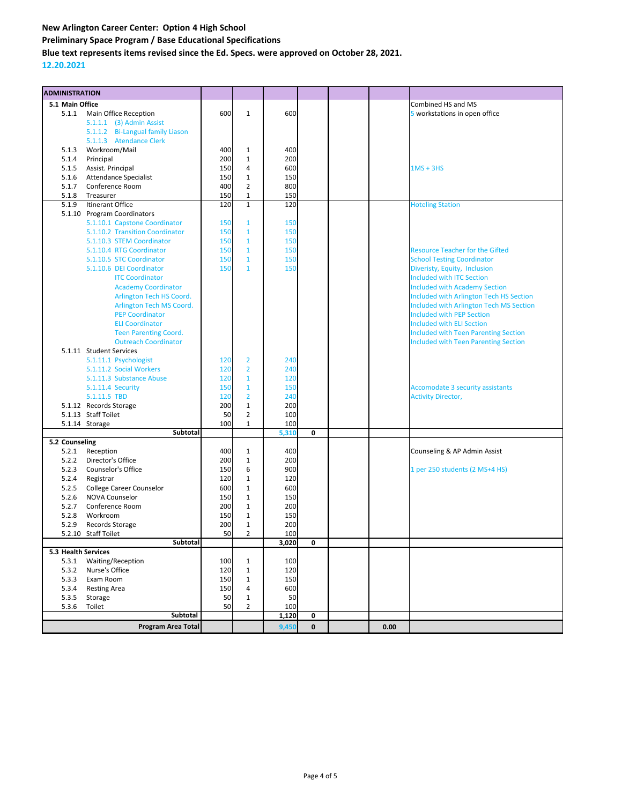**Preliminary Space Program / Base Educational Specifications**

**Blue text represents items revised since the Ed. Specs. were approved on October 28, 2021.**

## **12.20.2021**

| <b>ADMINISTRATION</b> |                                        |            |                                |            |              |      |                                             |
|-----------------------|----------------------------------------|------------|--------------------------------|------------|--------------|------|---------------------------------------------|
| 5.1 Main Office       |                                        |            |                                |            |              |      | Combined HS and MS                          |
| 5.1.1                 | Main Office Reception                  | 600        | $\mathbf{1}$                   | 600        |              |      | 5 workstations in open office               |
|                       | 5.1.1.1 (3) Admin Assist               |            |                                |            |              |      |                                             |
|                       | 5.1.1.2 Bi-Langual family Liason       |            |                                |            |              |      |                                             |
|                       | 5.1.1.3 Atendance Clerk                |            |                                |            |              |      |                                             |
| 5.1.3                 | Workroom/Mail                          | 400        | $\mathbf{1}$                   | 400        |              |      |                                             |
| 5.1.4                 | Principal                              | 200        | $\mathbf 1$                    | 200        |              |      |                                             |
| 5.1.5                 | Assist. Principal                      | 150        | $\overline{4}$                 | 600        |              |      | $1MS + 3HS$                                 |
| 5.1.6                 | <b>Attendance Specialist</b>           | 150        | $\mathbf 1$                    | 150        |              |      |                                             |
| 5.1.7                 | Conference Room                        | 400        | $\overline{2}$                 | 800        |              |      |                                             |
| 5.1.8                 | Treasurer                              | 150        | $\mathbf{1}$                   | 150        |              |      |                                             |
| 5.1.9                 | Itinerant Office                       | 120        | $\mathbf{1}$                   | 120        |              |      | <b>Hoteling Station</b>                     |
|                       | 5.1.10 Program Coordinators            |            |                                |            |              |      |                                             |
|                       | 5.1.10.1 Capstone Coordinator          | 150        | $\mathbf{1}$                   | 150        |              |      |                                             |
|                       | 5.1.10.2 Transition Coordinator        | 150        | $\mathbf{1}$                   | 150        |              |      |                                             |
|                       | 5.1.10.3 STEM Coordinator              | 150        | $\mathbf{1}$                   | 150        |              |      |                                             |
|                       | 5.1.10.4 RTG Coordinator               | 150        | $\mathbf{1}$                   | 150        |              |      | <b>Resource Teacher for the Gifted</b>      |
|                       | 5.1.10.5 STC Coordinator               | 150        | $\mathbf{1}$                   | 150        |              |      | <b>School Testing Coordinator</b>           |
|                       | 5.1.10.6 DEI Coordinator               | 150        | $\mathbf{1}$                   | 150        |              |      | Diveristy, Equity, Inclusion                |
|                       | <b>ITC Coordinator</b>                 |            |                                |            |              |      | <b>Included with ITC Section</b>            |
|                       | <b>Academy Coordinator</b>             |            |                                |            |              |      | <b>Included with Academy Section</b>        |
|                       | Arlington Tech HS Coord.               |            |                                |            |              |      | Included with Arlington Tech HS Section     |
|                       | Arlington Tech MS Coord.               |            |                                |            |              |      | Included with Arlington Tech MS Section     |
|                       | <b>PEP Coordinator</b>                 |            |                                |            |              |      | <b>Included with PEP Section</b>            |
|                       | <b>ELI Coordinator</b>                 |            |                                |            |              |      | <b>Included with ELI Section</b>            |
|                       | <b>Teen Parenting Coord.</b>           |            |                                |            |              |      | <b>Included with Teen Parenting Section</b> |
|                       | <b>Outreach Coordinator</b>            |            |                                |            |              |      | <b>Included with Teen Parenting Section</b> |
|                       | 5.1.11 Student Services                |            |                                |            |              |      |                                             |
|                       | 5.1.11.1 Psychologist                  | 120        | $\overline{2}$                 | 240        |              |      |                                             |
|                       | 5.1.11.2 Social Workers                | 120        | $\overline{2}$                 | 240        |              |      |                                             |
|                       | 5.1.11.3 Substance Abuse               | 120        | $\mathbf{1}$                   | 120        |              |      |                                             |
|                       | 5.1.11.4 Security                      | 150        | $\mathbf{1}$<br>$\overline{2}$ | 150        |              |      | <b>Accomodate 3 security assistants</b>     |
|                       | 5.1.11.5 TBD<br>5.1.12 Records Storage | 120<br>200 | $\mathbf 1$                    | 240<br>200 |              |      | <b>Activity Director,</b>                   |
|                       | 5.1.13 Staff Toilet                    | 50         | $\overline{2}$                 | 100        |              |      |                                             |
|                       | 5.1.14 Storage                         | 100        | $\mathbf{1}$                   | 100        |              |      |                                             |
|                       | Subtotal                               |            |                                | 5,310      | 0            |      |                                             |
| 5.2 Counseling        |                                        |            |                                |            |              |      |                                             |
| 5.2.1                 | Reception                              | 400        | $\mathbf{1}$                   | 400        |              |      | Counseling & AP Admin Assist                |
| 5.2.2                 | Director's Office                      | 200        | $\mathbf 1$                    | 200        |              |      |                                             |
| 5.2.3                 | Counselor's Office                     | 150        | 6                              | 900        |              |      | 1 per 250 students (2 MS+4 HS)              |
| 5.2.4                 | Registrar                              | 120        | $\mathbf 1$                    | 120        |              |      |                                             |
| 5.2.5                 | <b>College Career Counselor</b>        | 600        | $\mathbf 1$                    | 600        |              |      |                                             |
| 5.2.6                 | <b>NOVA Counselor</b>                  | 150        | $\mathbf 1$                    | 150        |              |      |                                             |
| 5.2.7                 | Conference Room                        | 200        | $\mathbf 1$                    | 200        |              |      |                                             |
| 5.2.8                 | Workroom                               | 150        | $\mathbf{1}$                   | 150        |              |      |                                             |
| 5.2.9                 | Records Storage                        | 200        | $\mathbf{1}$                   | 200        |              |      |                                             |
|                       | 5.2.10 Staff Toilet                    | 50         | $\overline{2}$                 | 100        |              |      |                                             |
|                       | Subtotal                               |            |                                | 3,020      | o            |      |                                             |
| 5.3 Health Services   |                                        |            |                                |            |              |      |                                             |
| 5.3.1                 | Waiting/Reception                      | 100        | $\mathbf{1}$                   | 100        |              |      |                                             |
| 5.3.2                 | Nurse's Office                         | 120        | $\mathbf{1}$                   | 120        |              |      |                                             |
| 5.3.3                 | Exam Room                              | 150        | $\mathbf{1}$                   | 150        |              |      |                                             |
| 5.3.4                 | <b>Resting Area</b>                    | 150        | 4                              | 600        |              |      |                                             |
| 5.3.5                 | Storage                                | 50         | $\mathbf{1}$                   | 50         |              |      |                                             |
| 5.3.6                 | Toilet                                 | 50         | $\overline{2}$                 | 100        |              |      |                                             |
|                       | Subtotal                               |            |                                | 1,120      | 0            |      |                                             |
|                       | <b>Program Area Total</b>              |            |                                | 9,450      | $\mathbf{0}$ | 0.00 |                                             |